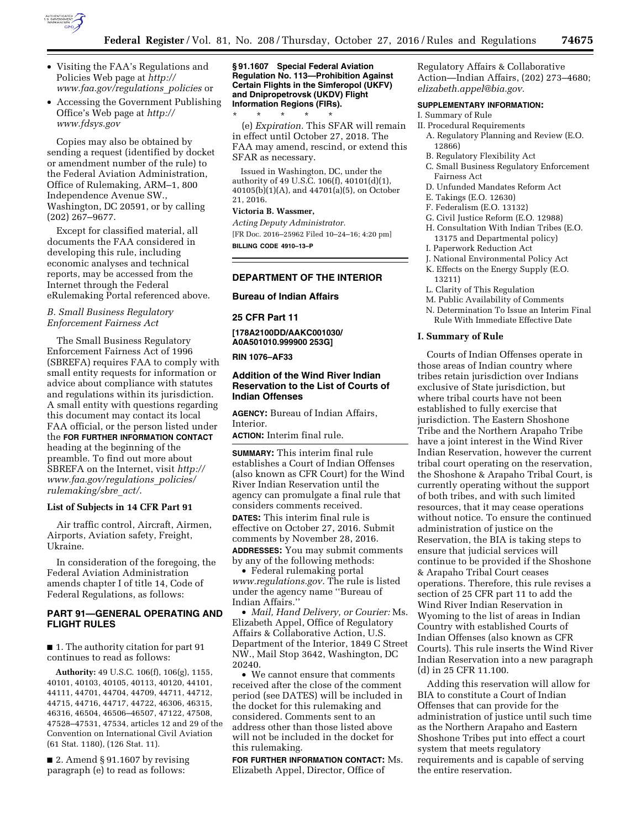

- Visiting the FAA's Regulations and Policies Web page at *[http://](http://www.faa.gov/regulations_policies) [www.faa.gov/regulations](http://www.faa.gov/regulations_policies)*\_*policies* or
- Accessing the Government Publishing Office's Web page at *[http://](http://www.fdsys.gov) [www.fdsys.gov](http://www.fdsys.gov)*

Copies may also be obtained by sending a request (identified by docket or amendment number of the rule) to the Federal Aviation Administration, Office of Rulemaking, ARM–1, 800 Independence Avenue SW., Washington, DC 20591, or by calling (202) 267–9677.

Except for classified material, all documents the FAA considered in developing this rule, including economic analyses and technical reports, may be accessed from the Internet through the Federal eRulemaking Portal referenced above.

## *B. Small Business Regulatory Enforcement Fairness Act*

The Small Business Regulatory Enforcement Fairness Act of 1996 (SBREFA) requires FAA to comply with small entity requests for information or advice about compliance with statutes and regulations within its jurisdiction. A small entity with questions regarding this document may contact its local FAA official, or the person listed under the **FOR FURTHER INFORMATION CONTACT** heading at the beginning of the preamble. To find out more about SBREFA on the Internet, visit *[http://](http://www.faa.gov/regulations_policies/rulemaking/sbre_act/) [www.faa.gov/regulations](http://www.faa.gov/regulations_policies/rulemaking/sbre_act/)*\_*policies/ [rulemaking/sbre](http://www.faa.gov/regulations_policies/rulemaking/sbre_act/)*\_*act/*.

#### **List of Subjects in 14 CFR Part 91**

Air traffic control, Aircraft, Airmen, Airports, Aviation safety, Freight, Ukraine.

In consideration of the foregoing, the Federal Aviation Administration amends chapter I of title 14, Code of Federal Regulations, as follows:

# **PART 91—GENERAL OPERATING AND FLIGHT RULES**

■ 1. The authority citation for part 91 continues to read as follows:

**Authority:** 49 U.S.C. 106(f), 106(g), 1155, 40101, 40103, 40105, 40113, 40120, 44101, 44111, 44701, 44704, 44709, 44711, 44712, 44715, 44716, 44717, 44722, 46306, 46315, 46316, 46504, 46506–46507, 47122, 47508, 47528–47531, 47534, articles 12 and 29 of the Convention on International Civil Aviation (61 Stat. 1180), (126 Stat. 11).

■ 2. Amend § 91.1607 by revising paragraph (e) to read as follows:

#### **§ 91.1607 Special Federal Aviation Regulation No. 113—Prohibition Against Certain Flights in the Simferopol (UKFV) and Dnipropetrovsk (UKDV) Flight Information Regions (FIRs).**

\* \* \* \* \* (e) *Expiration.* This SFAR will remain in effect until October 27, 2018. The FAA may amend, rescind, or extend this SFAR as necessary.

Issued in Washington, DC, under the authority of 49 U.S.C. 106(f), 40101(d)(1), 40105(b)(1)(A), and 44701(a)(5), on October 21, 2016.

# **Victoria B. Wassmer,**

*Acting Deputy Administrator.*  [FR Doc. 2016–25962 Filed 10–24–16; 4:20 pm] **BILLING CODE 4910–13–P** 

## **DEPARTMENT OF THE INTERIOR**

**Bureau of Indian Affairs** 

# **25 CFR Part 11**

**[178A2100DD/AAKC001030/ A0A501010.999900 253G]** 

## **RIN 1076–AF33**

# **Addition of the Wind River Indian Reservation to the List of Courts of Indian Offenses**

**AGENCY:** Bureau of Indian Affairs, **Interior** 

**ACTION:** Interim final rule.

**SUMMARY:** This interim final rule establishes a Court of Indian Offenses (also known as CFR Court) for the Wind River Indian Reservation until the agency can promulgate a final rule that considers comments received.

**DATES:** This interim final rule is effective on October 27, 2016. Submit comments by November 28, 2016. **ADDRESSES:** You may submit comments by any of the following methods:

• Federal rulemaking portal *[www.regulations.gov.](http://www.regulations.gov)* The rule is listed under the agency name ''Bureau of Indian Affairs.''

• *Mail, Hand Delivery, or Courier:* Ms. Elizabeth Appel, Office of Regulatory Affairs & Collaborative Action, U.S. Department of the Interior, 1849 C Street NW., Mail Stop 3642, Washington, DC 20240.

• We cannot ensure that comments received after the close of the comment period (see DATES) will be included in the docket for this rulemaking and considered. Comments sent to an address other than those listed above will not be included in the docket for this rulemaking.

**FOR FURTHER INFORMATION CONTACT:** Ms. Elizabeth Appel, Director, Office of

Regulatory Affairs & Collaborative Action—Indian Affairs, (202) 273–4680; *[elizabeth.appel@bia.gov.](mailto:elizabeth.appel@bia.gov)* 

## **SUPPLEMENTARY INFORMATION:**

#### I. Summary of Rule

- II. Procedural Requirements
- A. Regulatory Planning and Review (E.O. 12866)
- B. Regulatory Flexibility Act
- C. Small Business Regulatory Enforcement Fairness Act
- D. Unfunded Mandates Reform Act
- E. Takings (E.O. 12630)
- F. Federalism (E.O. 13132)
- G. Civil Justice Reform (E.O. 12988)
- H. Consultation With Indian Tribes (E.O. 13175 and Departmental policy)
- I. Paperwork Reduction Act
- J. National Environmental Policy Act
- K. Effects on the Energy Supply (E.O.
- 13211) L. Clarity of This Regulation
- M. Public Availability of Comments
- N. Determination To Issue an Interim Final Rule With Immediate Effective Date

#### **I. Summary of Rule**

Courts of Indian Offenses operate in those areas of Indian country where tribes retain jurisdiction over Indians exclusive of State jurisdiction, but where tribal courts have not been established to fully exercise that jurisdiction. The Eastern Shoshone Tribe and the Northern Arapaho Tribe have a joint interest in the Wind River Indian Reservation, however the current tribal court operating on the reservation, the Shoshone & Arapaho Tribal Court, is currently operating without the support of both tribes, and with such limited resources, that it may cease operations without notice. To ensure the continued administration of justice on the Reservation, the BIA is taking steps to ensure that judicial services will continue to be provided if the Shoshone & Arapaho Tribal Court ceases operations. Therefore, this rule revises a section of 25 CFR part 11 to add the Wind River Indian Reservation in Wyoming to the list of areas in Indian Country with established Courts of Indian Offenses (also known as CFR Courts). This rule inserts the Wind River Indian Reservation into a new paragraph (d) in 25 CFR 11.100.

Adding this reservation will allow for BIA to constitute a Court of Indian Offenses that can provide for the administration of justice until such time as the Northern Arapaho and Eastern Shoshone Tribes put into effect a court system that meets regulatory requirements and is capable of serving the entire reservation.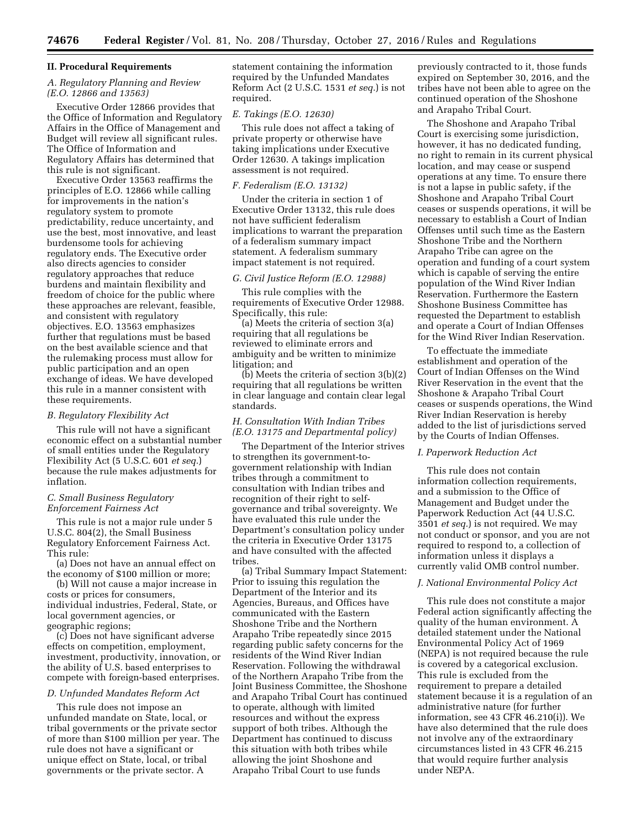#### **II. Procedural Requirements**

# *A. Regulatory Planning and Review (E.O. 12866 and 13563)*

Executive Order 12866 provides that the Office of Information and Regulatory Affairs in the Office of Management and Budget will review all significant rules. The Office of Information and Regulatory Affairs has determined that this rule is not significant.

Executive Order 13563 reaffirms the principles of E.O. 12866 while calling for improvements in the nation's regulatory system to promote predictability, reduce uncertainty, and use the best, most innovative, and least burdensome tools for achieving regulatory ends. The Executive order also directs agencies to consider regulatory approaches that reduce burdens and maintain flexibility and freedom of choice for the public where these approaches are relevant, feasible, and consistent with regulatory objectives. E.O. 13563 emphasizes further that regulations must be based on the best available science and that the rulemaking process must allow for public participation and an open exchange of ideas. We have developed this rule in a manner consistent with these requirements.

#### *B. Regulatory Flexibility Act*

This rule will not have a significant economic effect on a substantial number of small entities under the Regulatory Flexibility Act (5 U.S.C. 601 *et seq.*) because the rule makes adjustments for inflation.

## *C. Small Business Regulatory Enforcement Fairness Act*

This rule is not a major rule under 5 U.S.C. 804(2), the Small Business Regulatory Enforcement Fairness Act. This rule:

(a) Does not have an annual effect on the economy of \$100 million or more;

(b) Will not cause a major increase in costs or prices for consumers, individual industries, Federal, State, or local government agencies, or geographic regions;

(c) Does not have significant adverse effects on competition, employment, investment, productivity, innovation, or the ability of U.S. based enterprises to compete with foreign-based enterprises.

## *D. Unfunded Mandates Reform Act*

This rule does not impose an unfunded mandate on State, local, or tribal governments or the private sector of more than \$100 million per year. The rule does not have a significant or unique effect on State, local, or tribal governments or the private sector. A

statement containing the information required by the Unfunded Mandates Reform Act (2 U.S.C. 1531 *et seq.*) is not required.

# *E. Takings (E.O. 12630)*

This rule does not affect a taking of private property or otherwise have taking implications under Executive Order 12630. A takings implication assessment is not required.

#### *F. Federalism (E.O. 13132)*

Under the criteria in section 1 of Executive Order 13132, this rule does not have sufficient federalism implications to warrant the preparation of a federalism summary impact statement. A federalism summary impact statement is not required.

# *G. Civil Justice Reform (E.O. 12988)*

This rule complies with the requirements of Executive Order 12988. Specifically, this rule:

(a) Meets the criteria of section 3(a) requiring that all regulations be reviewed to eliminate errors and ambiguity and be written to minimize litigation; and

(b) Meets the criteria of section 3(b)(2) requiring that all regulations be written in clear language and contain clear legal standards.

# *H. Consultation With Indian Tribes (E.O. 13175 and Departmental policy)*

The Department of the Interior strives to strengthen its government-togovernment relationship with Indian tribes through a commitment to consultation with Indian tribes and recognition of their right to selfgovernance and tribal sovereignty. We have evaluated this rule under the Department's consultation policy under the criteria in Executive Order 13175 and have consulted with the affected tribes.

(a) Tribal Summary Impact Statement: Prior to issuing this regulation the Department of the Interior and its Agencies, Bureaus, and Offices have communicated with the Eastern Shoshone Tribe and the Northern Arapaho Tribe repeatedly since 2015 regarding public safety concerns for the residents of the Wind River Indian Reservation. Following the withdrawal of the Northern Arapaho Tribe from the Joint Business Committee, the Shoshone and Arapaho Tribal Court has continued to operate, although with limited resources and without the express support of both tribes. Although the Department has continued to discuss this situation with both tribes while allowing the joint Shoshone and Arapaho Tribal Court to use funds

previously contracted to it, those funds expired on September 30, 2016, and the tribes have not been able to agree on the continued operation of the Shoshone and Arapaho Tribal Court.

The Shoshone and Arapaho Tribal Court is exercising some jurisdiction, however, it has no dedicated funding, no right to remain in its current physical location, and may cease or suspend operations at any time. To ensure there is not a lapse in public safety, if the Shoshone and Arapaho Tribal Court ceases or suspends operations, it will be necessary to establish a Court of Indian Offenses until such time as the Eastern Shoshone Tribe and the Northern Arapaho Tribe can agree on the operation and funding of a court system which is capable of serving the entire population of the Wind River Indian Reservation. Furthermore the Eastern Shoshone Business Committee has requested the Department to establish and operate a Court of Indian Offenses for the Wind River Indian Reservation.

To effectuate the immediate establishment and operation of the Court of Indian Offenses on the Wind River Reservation in the event that the Shoshone & Arapaho Tribal Court ceases or suspends operations, the Wind River Indian Reservation is hereby added to the list of jurisdictions served by the Courts of Indian Offenses.

#### *I. Paperwork Reduction Act*

This rule does not contain information collection requirements, and a submission to the Office of Management and Budget under the Paperwork Reduction Act (44 U.S.C. 3501 *et seq.*) is not required. We may not conduct or sponsor, and you are not required to respond to, a collection of information unless it displays a currently valid OMB control number.

#### *J. National Environmental Policy Act*

This rule does not constitute a major Federal action significantly affecting the quality of the human environment. A detailed statement under the National Environmental Policy Act of 1969 (NEPA) is not required because the rule is covered by a categorical exclusion. This rule is excluded from the requirement to prepare a detailed statement because it is a regulation of an administrative nature (for further information, see 43 CFR 46.210(i)). We have also determined that the rule does not involve any of the extraordinary circumstances listed in 43 CFR 46.215 that would require further analysis under NEPA.